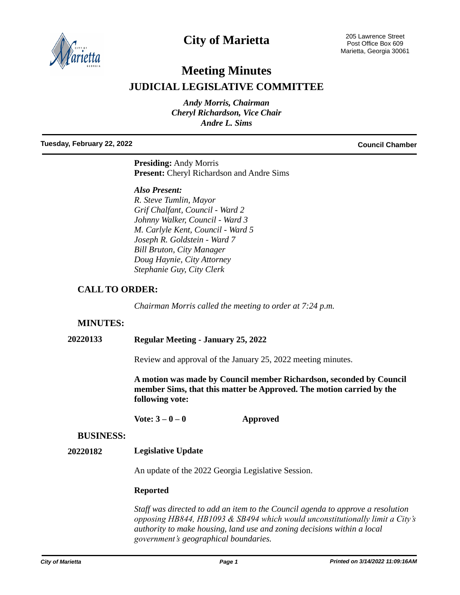

# **City of Marietta**

# **Meeting Minutes JUDICIAL LEGISLATIVE COMMITTEE**

*Andy Morris, Chairman Cheryl Richardson, Vice Chair Andre L. Sims*

#### **Tuesday, February 22, 2022 Council Chamber**

**Presiding:** Andy Morris **Present:** Cheryl Richardson and Andre Sims

#### *Also Present:*

*R. Steve Tumlin, Mayor Grif Chalfant, Council - Ward 2 Johnny Walker, Council - Ward 3 M. Carlyle Kent, Council - Ward 5 Joseph R. Goldstein - Ward 7 Bill Bruton, City Manager Doug Haynie, City Attorney Stephanie Guy, City Clerk*

# **CALL TO ORDER:**

*Chairman Morris called the meeting to order at 7:24 p.m.* 

# **MINUTES:**

# **20220133 Regular Meeting - January 25, 2022**

Review and approval of the January 25, 2022 meeting minutes.

**A motion was made by Council member Richardson, seconded by Council member Sims, that this matter be Approved. The motion carried by the following vote:**

**Vote: 3 – 0 – 0 Approved**

### **BUSINESS:**

#### **20220182 Legislative Update**

An update of the 2022 Georgia Legislative Session.

#### **Reported**

*Staff was directed to add an item to the Council agenda to approve a resolution opposing HB844, HB1093 & SB494 which would unconstitutionally limit a City's authority to make housing, land use and zoning decisions within a local government's geographical boundaries.*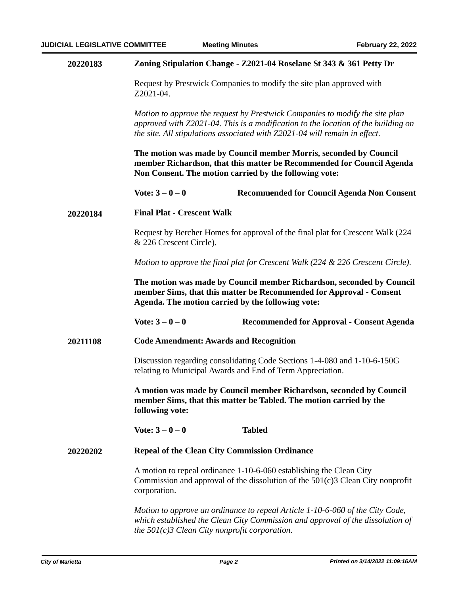| 20220183 |                                                                                                                                                                                                                                                                                                                                                                                                                                                                                                                                              | Zoning Stipulation Change - Z2021-04 Roselane St 343 & 361 Petty Dr |  |
|----------|----------------------------------------------------------------------------------------------------------------------------------------------------------------------------------------------------------------------------------------------------------------------------------------------------------------------------------------------------------------------------------------------------------------------------------------------------------------------------------------------------------------------------------------------|---------------------------------------------------------------------|--|
|          | Request by Prestwick Companies to modify the site plan approved with<br>Z2021-04.<br>Motion to approve the request by Prestwick Companies to modify the site plan<br>approved with Z2021-04. This is a modification to the location of the building on<br>the site. All stipulations associated with Z2021-04 will remain in effect.<br>The motion was made by Council member Morris, seconded by Council<br>member Richardson, that this matter be Recommended for Council Agenda<br>Non Consent. The motion carried by the following vote: |                                                                     |  |
|          |                                                                                                                                                                                                                                                                                                                                                                                                                                                                                                                                              |                                                                     |  |
|          |                                                                                                                                                                                                                                                                                                                                                                                                                                                                                                                                              |                                                                     |  |
|          | Vote: $3 - 0 - 0$                                                                                                                                                                                                                                                                                                                                                                                                                                                                                                                            | <b>Recommended for Council Agenda Non Consent</b>                   |  |
| 20220184 | <b>Final Plat - Crescent Walk</b>                                                                                                                                                                                                                                                                                                                                                                                                                                                                                                            |                                                                     |  |
|          | Request by Bercher Homes for approval of the final plat for Crescent Walk (224)<br>& 226 Crescent Circle).                                                                                                                                                                                                                                                                                                                                                                                                                                   |                                                                     |  |
|          | Motion to approve the final plat for Crescent Walk (224 & 226 Crescent Circle).                                                                                                                                                                                                                                                                                                                                                                                                                                                              |                                                                     |  |
|          | The motion was made by Council member Richardson, seconded by Council<br>member Sims, that this matter be Recommended for Approval - Consent<br>Agenda. The motion carried by the following vote:                                                                                                                                                                                                                                                                                                                                            |                                                                     |  |
|          | Vote: $3 - 0 - 0$                                                                                                                                                                                                                                                                                                                                                                                                                                                                                                                            | <b>Recommended for Approval - Consent Agenda</b>                    |  |
| 20211108 | <b>Code Amendment: Awards and Recognition</b>                                                                                                                                                                                                                                                                                                                                                                                                                                                                                                |                                                                     |  |
|          | Discussion regarding consolidating Code Sections 1-4-080 and 1-10-6-150G<br>relating to Municipal Awards and End of Term Appreciation.                                                                                                                                                                                                                                                                                                                                                                                                       |                                                                     |  |
|          | A motion was made by Council member Richardson, seconded by Council<br>member Sims, that this matter be Tabled. The motion carried by the<br>following vote:                                                                                                                                                                                                                                                                                                                                                                                 |                                                                     |  |
|          | Vote: $3 - 0 - 0$                                                                                                                                                                                                                                                                                                                                                                                                                                                                                                                            | <b>Tabled</b>                                                       |  |
| 20220202 | <b>Repeal of the Clean City Commission Ordinance</b>                                                                                                                                                                                                                                                                                                                                                                                                                                                                                         |                                                                     |  |
|          | A motion to repeal ordinance 1-10-6-060 establishing the Clean City<br>Commission and approval of the dissolution of the $501(c)3$ Clean City nonprofit<br>corporation.                                                                                                                                                                                                                                                                                                                                                                      |                                                                     |  |
|          | Motion to approve an ordinance to repeal Article 1-10-6-060 of the City Code,<br>which established the Clean City Commission and approval of the dissolution of<br>the $501(c)3$ Clean City nonprofit corporation.                                                                                                                                                                                                                                                                                                                           |                                                                     |  |